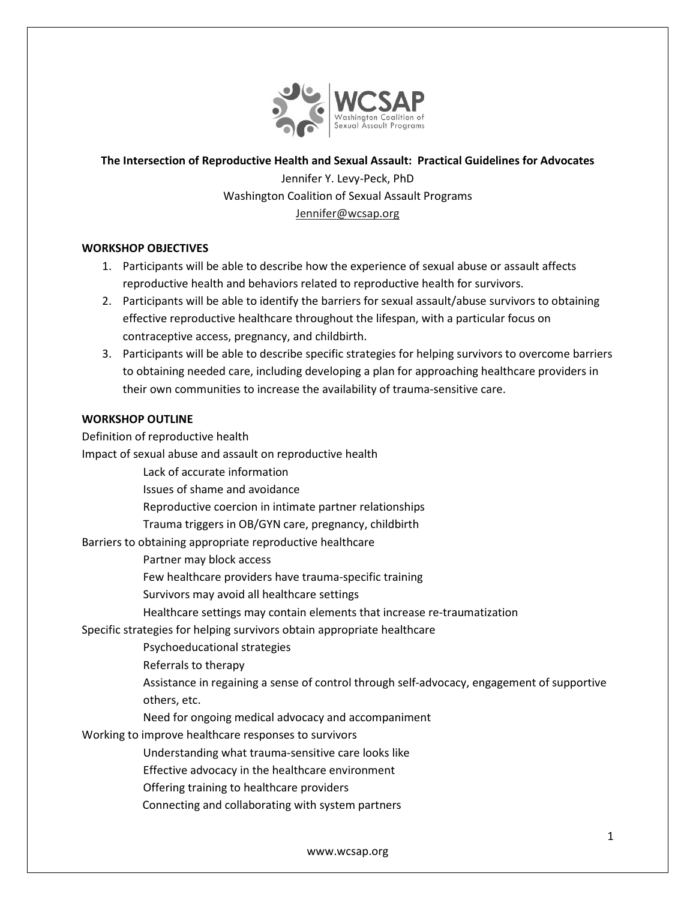

### The Intersection of Reproductive Health and Sexual Assault: Practical Guidelines for Advocates

Jennifer Y. Levy-Peck, PhD Washington Coalition of Sexual Assault Programs Jennifer@wcsap.org

### WORKSHOP OBJECTIVES

- 1. Participants will be able to describe how the experience of sexual abuse or assault affects reproductive health and behaviors related to reproductive health for survivors.
- 2. Participants will be able to identify the barriers for sexual assault/abuse survivors to obtaining effective reproductive healthcare throughout the lifespan, with a particular focus on contraceptive access, pregnancy, and childbirth.
- 3. Participants will be able to describe specific strategies for helping survivors to overcome barriers to obtaining needed care, including developing a plan for approaching healthcare providers in their own communities to increase the availability of trauma-sensitive care.

### WORKSHOP OUTLINE

Definition of reproductive health

Impact of sexual abuse and assault on reproductive health

Lack of accurate information

Issues of shame and avoidance

Reproductive coercion in intimate partner relationships

Trauma triggers in OB/GYN care, pregnancy, childbirth

Barriers to obtaining appropriate reproductive healthcare

Partner may block access

Few healthcare providers have trauma-specific training

Survivors may avoid all healthcare settings

Healthcare settings may contain elements that increase re-traumatization

Specific strategies for helping survivors obtain appropriate healthcare

Psychoeducational strategies

Referrals to therapy

Assistance in regaining a sense of control through self-advocacy, engagement of supportive others, etc.

Need for ongoing medical advocacy and accompaniment

Working to improve healthcare responses to survivors

Understanding what trauma-sensitive care looks like

Effective advocacy in the healthcare environment

Offering training to healthcare providers

Connecting and collaborating with system partners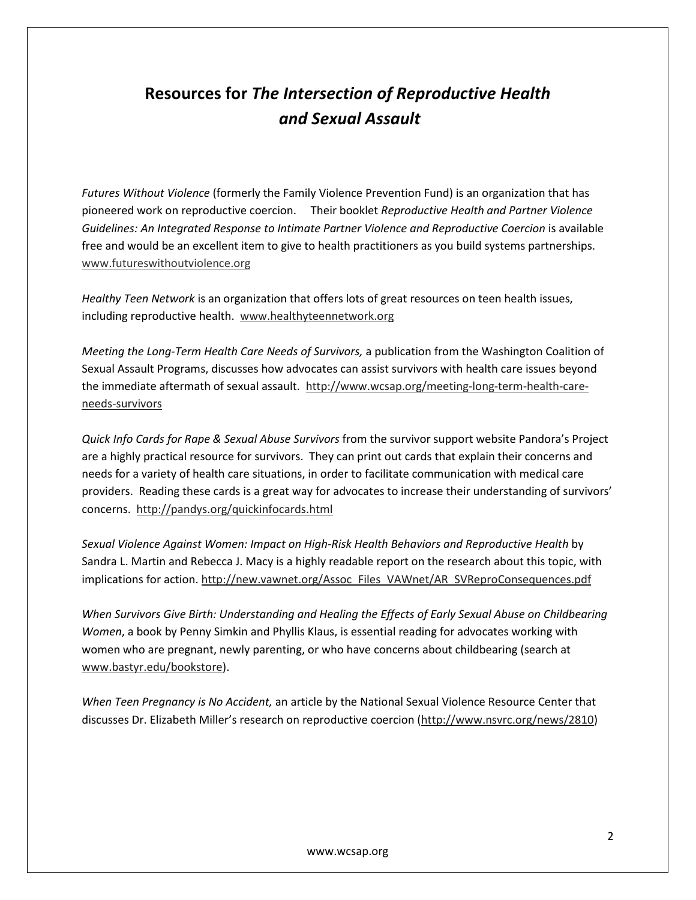## Resources for The Intersection of Reproductive Health and Sexual Assault

Futures Without Violence (formerly the Family Violence Prevention Fund) is an organization that has pioneered work on reproductive coercion. Their booklet Reproductive Health and Partner Violence Guidelines: An Integrated Response to Intimate Partner Violence and Reproductive Coercion is available free and would be an excellent item to give to health practitioners as you build systems partnerships. www.futureswithoutviolence.org

Healthy Teen Network is an organization that offers lots of great resources on teen health issues, including reproductive health. www.healthyteennetwork.org

Meeting the Long-Term Health Care Needs of Survivors, a publication from the Washington Coalition of Sexual Assault Programs, discusses how advocates can assist survivors with health care issues beyond the immediate aftermath of sexual assault. http://www.wcsap.org/meeting-long-term-health-careneeds-survivors

Quick Info Cards for Rape & Sexual Abuse Survivors from the survivor support website Pandora's Project are a highly practical resource for survivors. They can print out cards that explain their concerns and needs for a variety of health care situations, in order to facilitate communication with medical care providers. Reading these cards is a great way for advocates to increase their understanding of survivors' concerns. http://pandys.org/quickinfocards.html

Sexual Violence Against Women: Impact on High-Risk Health Behaviors and Reproductive Health by Sandra L. Martin and Rebecca J. Macy is a highly readable report on the research about this topic, with implications for action. http://new.vawnet.org/Assoc\_Files\_VAWnet/AR\_SVReproConsequences.pdf

When Survivors Give Birth: Understanding and Healing the Effects of Early Sexual Abuse on Childbearing Women, a book by Penny Simkin and Phyllis Klaus, is essential reading for advocates working with women who are pregnant, newly parenting, or who have concerns about childbearing (search at www.bastyr.edu/bookstore).

When Teen Pregnancy is No Accident, an article by the National Sexual Violence Resource Center that discusses Dr. Elizabeth Miller's research on reproductive coercion (http://www.nsvrc.org/news/2810)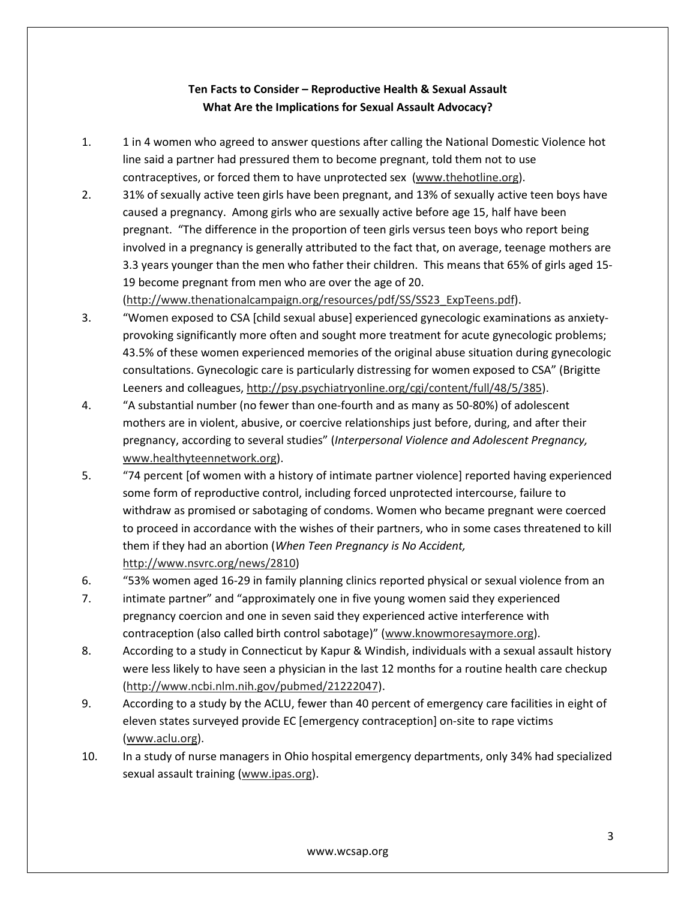### Ten Facts to Consider – Reproductive Health & Sexual Assault What Are the Implications for Sexual Assault Advocacy?

- 1. 1 in 4 women who agreed to answer questions after calling the National Domestic Violence hot line said a partner had pressured them to become pregnant, told them not to use contraceptives, or forced them to have unprotected sex (www.thehotline.org).
- 2. 31% of sexually active teen girls have been pregnant, and 13% of sexually active teen boys have caused a pregnancy. Among girls who are sexually active before age 15, half have been pregnant. "The difference in the proportion of teen girls versus teen boys who report being involved in a pregnancy is generally attributed to the fact that, on average, teenage mothers are 3.3 years younger than the men who father their children. This means that 65% of girls aged 15- 19 become pregnant from men who are over the age of 20.

(http://www.thenationalcampaign.org/resources/pdf/SS/SS23\_ExpTeens.pdf).

- 3. "Women exposed to CSA [child sexual abuse] experienced gynecologic examinations as anxietyprovoking significantly more often and sought more treatment for acute gynecologic problems; 43.5% of these women experienced memories of the original abuse situation during gynecologic consultations. Gynecologic care is particularly distressing for women exposed to CSA" (Brigitte Leeners and colleagues, http://psy.psychiatryonline.org/cgi/content/full/48/5/385).
- 4. "A substantial number (no fewer than one-fourth and as many as 50-80%) of adolescent mothers are in violent, abusive, or coercive relationships just before, during, and after their pregnancy, according to several studies" (Interpersonal Violence and Adolescent Pregnancy, www.healthyteennetwork.org).
- 5. "74 percent [of women with a history of intimate partner violence] reported having experienced some form of reproductive control, including forced unprotected intercourse, failure to withdraw as promised or sabotaging of condoms. Women who became pregnant were coerced to proceed in accordance with the wishes of their partners, who in some cases threatened to kill them if they had an abortion (When Teen Pregnancy is No Accident, http://www.nsvrc.org/news/2810)
- 6. "53% women aged 16-29 in family planning clinics reported physical or sexual violence from an
- 7. intimate partner" and "approximately one in five young women said they experienced pregnancy coercion and one in seven said they experienced active interference with contraception (also called birth control sabotage)" (www.knowmoresaymore.org).
- 8. According to a study in Connecticut by Kapur & Windish, individuals with a sexual assault history were less likely to have seen a physician in the last 12 months for a routine health care checkup (http://www.ncbi.nlm.nih.gov/pubmed/21222047).
- 9. According to a study by the ACLU, fewer than 40 percent of emergency care facilities in eight of eleven states surveyed provide EC [emergency contraception] on-site to rape victims (www.aclu.org).
- 10. In a study of nurse managers in Ohio hospital emergency departments, only 34% had specialized sexual assault training (www.ipas.org).